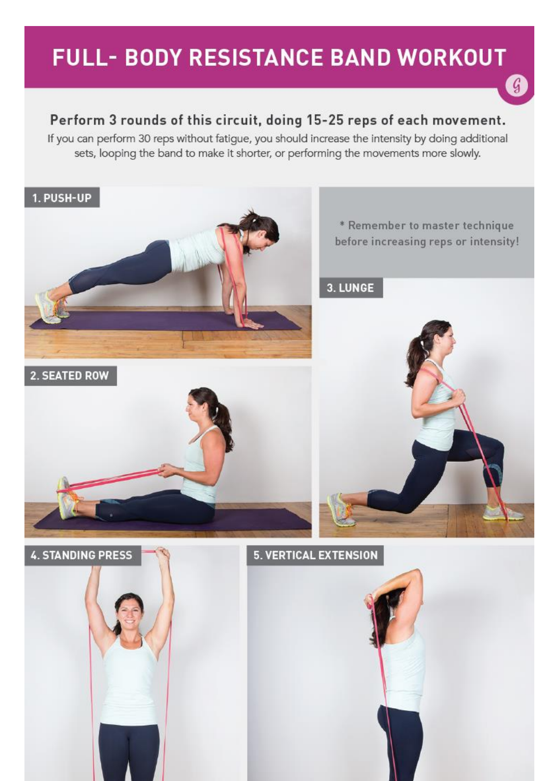# **FULL- BODY RESISTANCE BAND WORKOUT**

 $\mathcal{G}$ 

### Perform 3 rounds of this circuit, doing 15-25 reps of each movement.

If you can perform 30 reps without fatigue, you should increase the intensity by doing additional sets, looping the band to make it shorter, or performing the movements more slowly.